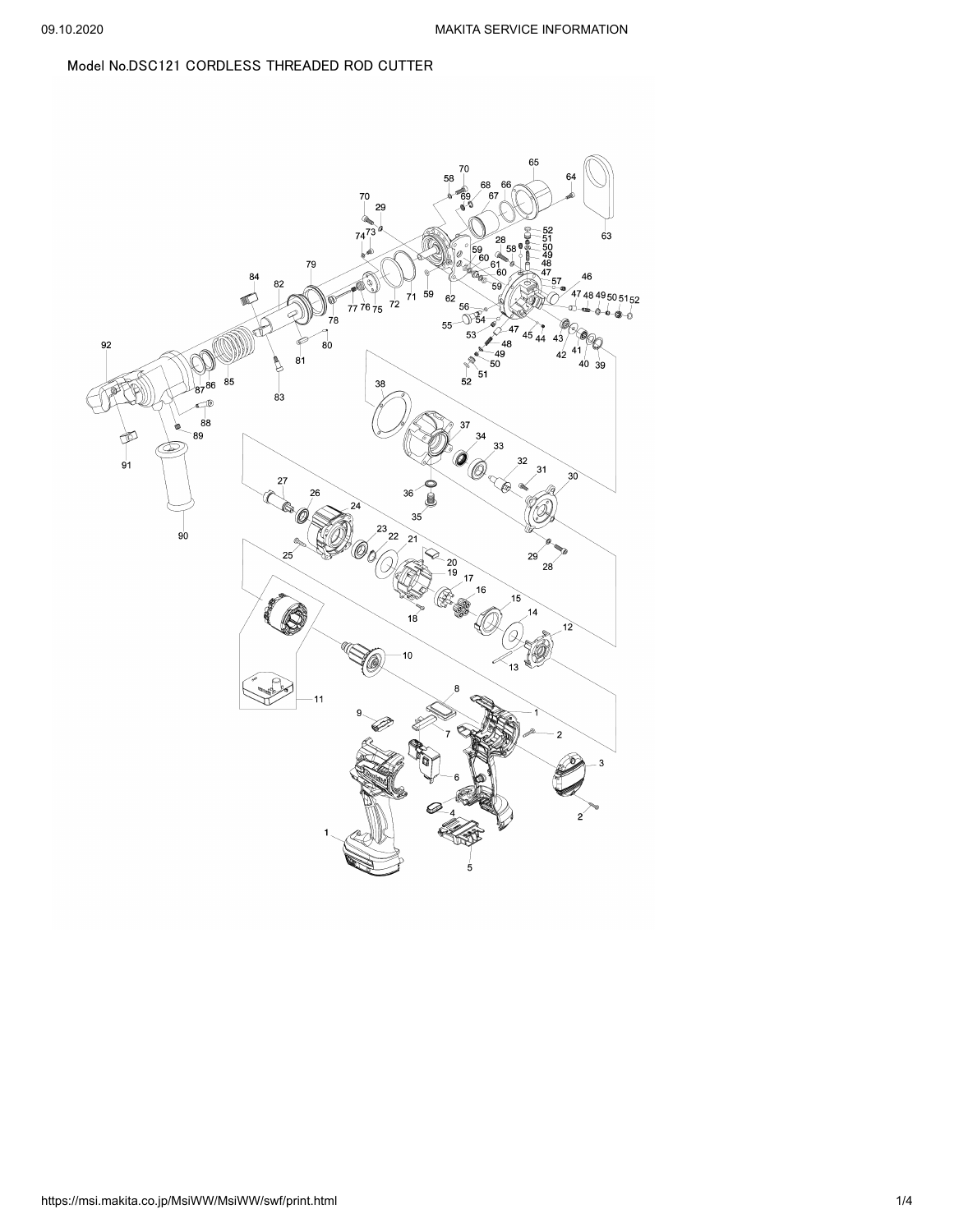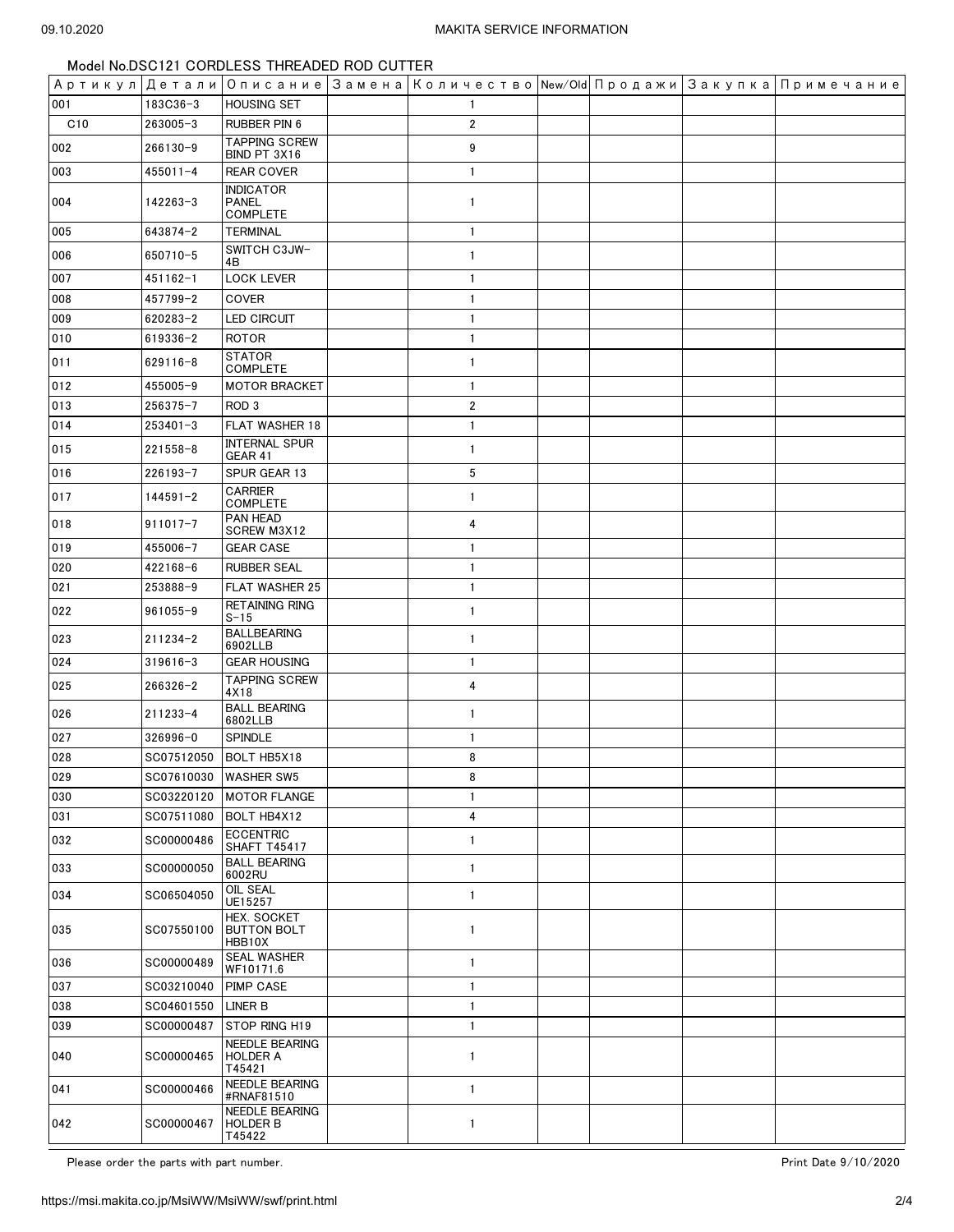| Артикул Детали |              |                                                     | Описание Замена Количество New/Old Продажи Закупка Примечание |  |  |
|----------------|--------------|-----------------------------------------------------|---------------------------------------------------------------|--|--|
| 001            | 183C36-3     | <b>HOUSING SET</b>                                  | 1                                                             |  |  |
| C10            | $263005 - 3$ | RUBBER PIN 6                                        | 2                                                             |  |  |
| 002            | 266130-9     | <b>TAPPING SCREW</b><br>BIND PT 3X16                | 9                                                             |  |  |
| 003            | $455011 - 4$ | <b>REAR COVER</b>                                   | $\mathbf{1}$                                                  |  |  |
| 004            | 142263-3     | <b>INDICATOR</b><br><b>PANEL</b><br><b>COMPLETE</b> | $\mathbf{1}$                                                  |  |  |
| 005            | 643874-2     | <b>TERMINAL</b>                                     | $\mathbf{1}$                                                  |  |  |
| 006            | 650710-5     | SWITCH C3JW-<br>4B                                  | $\mathbf{1}$                                                  |  |  |
| 007            | $451162 - 1$ | <b>LOCK LEVER</b>                                   | $\mathbf{1}$                                                  |  |  |
| 008            | 457799-2     | COVER                                               | $\mathbf{1}$                                                  |  |  |
| 009            | 620283-2     | <b>LED CIRCUIT</b>                                  | $\mathbf{1}$                                                  |  |  |
| 010            | 619336-2     | <b>ROTOR</b>                                        | $\mathbf{1}$                                                  |  |  |
| 011            | $629116 - 8$ | <b>STATOR</b><br><b>COMPLETE</b>                    | $\mathbf{1}$                                                  |  |  |
| 012            | 455005-9     | <b>MOTOR BRACKET</b>                                | $\mathbf{1}$                                                  |  |  |
| 013            | 256375-7     | ROD <sub>3</sub>                                    | $\overline{2}$                                                |  |  |
| 014            | $253401 - 3$ | FLAT WASHER 18                                      | $\mathbf{1}$                                                  |  |  |
| 015            | $221558 - 8$ | <b>INTERNAL SPUR</b><br>GEAR 41                     | $\mathbf{1}$                                                  |  |  |
| 016            | $226193 - 7$ | SPUR GEAR 13                                        | 5                                                             |  |  |
| 017            | $144591 - 2$ | CARRIER<br><b>COMPLETE</b>                          | $\mathbf{1}$                                                  |  |  |
| 018            | $911017 - 7$ | PAN HEAD<br>SCREW M3X12                             | 4                                                             |  |  |
| 019            | 455006-7     | <b>GEAR CASE</b>                                    | $\mathbf{1}$                                                  |  |  |
| 020            | 422168-6     | <b>RUBBER SEAL</b>                                  | 1                                                             |  |  |
| 021            | 253888-9     | <b>FLAT WASHER 25</b>                               | $\mathbf{1}$                                                  |  |  |
| 022            | $961055 - 9$ | <b>RETAINING RING</b><br>$S-15$                     | $\mathbf{1}$                                                  |  |  |
| 023            | $211234 - 2$ | <b>BALLBEARING</b><br>6902LLB                       | $\mathbf{1}$                                                  |  |  |
| 024            | $319616 - 3$ | <b>GEAR HOUSING</b>                                 | $\mathbf{1}$                                                  |  |  |
| 025            | $266326 - 2$ | <b>TAPPING SCREW</b><br>4X18                        | 4                                                             |  |  |
| 026            | 211233-4     | <b>BALL BEARING</b><br>6802LLB                      | $\mathbf{1}$                                                  |  |  |
| 027            | 326996-0     | <b>SPINDLE</b>                                      | $\mathbf{1}$                                                  |  |  |
| 028            | SC07512050   | BOLT HB5X18                                         | 8                                                             |  |  |
| 029            | SC07610030   | <b>WASHER SW5</b>                                   | 8                                                             |  |  |
| 030            | SC03220120   | <b>MOTOR FLANGE</b>                                 | 1                                                             |  |  |
| 031            | SC07511080   | BOLT HB4X12                                         | 4                                                             |  |  |
| 032            | SC00000486   | <b>ECCENTRIC</b><br><b>SHAFT T45417</b>             | 1                                                             |  |  |
| 033            | SC00000050   | <b>BALL BEARING</b><br>6002RU                       | 1                                                             |  |  |
| 034            | SC06504050   | OIL SEAL<br>UE15257                                 | 1                                                             |  |  |
| 035            | SC07550100   | HEX. SOCKET<br><b>BUTTON BOLT</b><br>HBB10X         | 1                                                             |  |  |
| 036            | SC00000489   | <b>SEAL WASHER</b><br>WF10171.6                     | 1                                                             |  |  |
| 037            | SC03210040   | <b>PIMP CASE</b>                                    | $\mathbf{1}$                                                  |  |  |
| 038            | SC04601550   | LINER B                                             | $\mathbf{1}$                                                  |  |  |
| 039            | SC00000487   | STOP RING H19                                       | 1                                                             |  |  |
| 040            | SC00000465   | <b>NEEDLE BEARING</b><br><b>HOLDER A</b><br>T45421  | 1                                                             |  |  |
| 041            | SC00000466   | NEEDLE BEARING<br>#RNAF81510                        | $\mathbf{1}$                                                  |  |  |
| 042            | SC00000467   | NEEDLE BEARING<br><b>HOLDER B</b><br>T45422         | 1                                                             |  |  |

Please order the parts with part number.  $\blacksquare$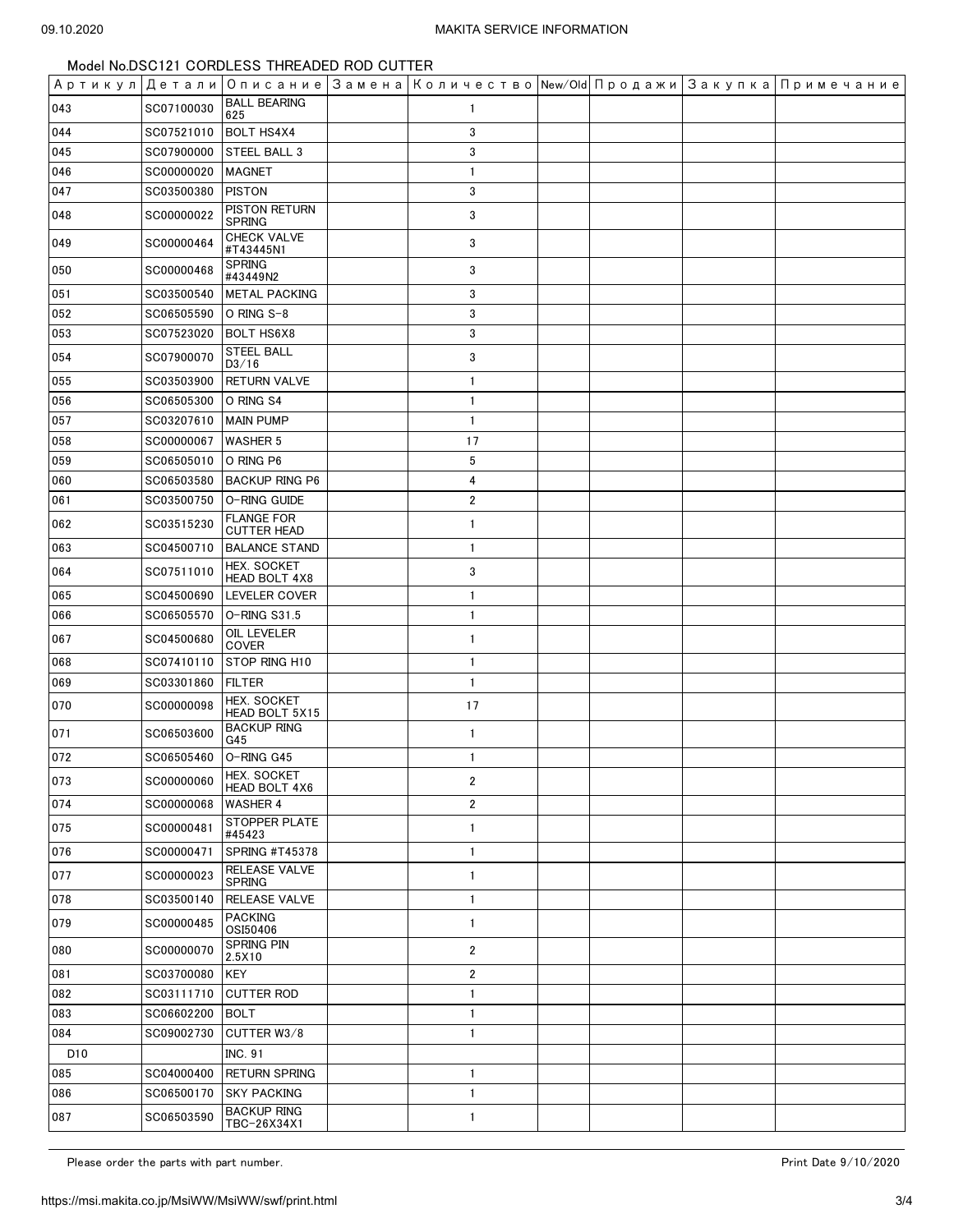| Артикул Детали  |            |                                         | Описание   Замена   Количество   New⁄Old   Продажи   Закупка   Примечание |  |  |
|-----------------|------------|-----------------------------------------|---------------------------------------------------------------------------|--|--|
| 043             | SC07100030 | <b>BALL BEARING</b><br>625              | 1                                                                         |  |  |
| 044             | SC07521010 | <b>BOLT HS4X4</b>                       | 3                                                                         |  |  |
| 045             | SC07900000 | STEEL BALL 3                            | 3                                                                         |  |  |
| 046             | SC00000020 | <b>MAGNET</b>                           | 1                                                                         |  |  |
| 047             | SC03500380 | <b>PISTON</b>                           | 3                                                                         |  |  |
| 048             | SC00000022 | PISTON RETURN<br><b>SPRING</b>          | 3                                                                         |  |  |
| 049             | SC00000464 | <b>CHECK VALVE</b><br>#T43445N1         | 3                                                                         |  |  |
| 050             | SC00000468 | <b>SPRING</b><br>#43449N2               | 3                                                                         |  |  |
| 051             | SC03500540 | <b>METAL PACKING</b>                    | 3                                                                         |  |  |
| 052             | SC06505590 | O RING S-8                              | 3                                                                         |  |  |
| 053             | SC07523020 | <b>BOLT HS6X8</b>                       | 3                                                                         |  |  |
| 054             | SC07900070 | <b>STEEL BALL</b><br>D3/16              | 3                                                                         |  |  |
| 055             | SC03503900 | <b>RETURN VALVE</b>                     | 1                                                                         |  |  |
| 056             | SC06505300 | O RING S4                               | 1                                                                         |  |  |
| 057             | SC03207610 | <b>MAIN PUMP</b>                        | $\mathbf{1}$                                                              |  |  |
| 058             | SC00000067 | <b>WASHER 5</b>                         | 17                                                                        |  |  |
| 059             | SC06505010 | O RING P6                               | 5                                                                         |  |  |
| 060             | SC06503580 | <b>BACKUP RING P6</b>                   | 4                                                                         |  |  |
| 061             | SC03500750 | O-RING GUIDE                            | 2                                                                         |  |  |
| 062             | SC03515230 | <b>FLANGE FOR</b><br><b>CUTTER HEAD</b> | $\mathbf{1}$                                                              |  |  |
| 063             | SC04500710 | <b>BALANCE STAND</b>                    | $\mathbf{1}$                                                              |  |  |
| 064             | SC07511010 | HEX. SOCKET<br>HEAD BOLT 4X8            | 3                                                                         |  |  |
| 065             | SC04500690 | LEVELER COVER                           | 1                                                                         |  |  |
| 066             | SC06505570 | O-RING S31.5                            | 1                                                                         |  |  |
| 067             | SC04500680 | OIL LEVELER<br>COVER                    | 1                                                                         |  |  |
| 068             | SC07410110 | STOP RING H10                           | 1                                                                         |  |  |
| 069             | SC03301860 | <b>FILTER</b>                           | $\mathbf{1}$                                                              |  |  |
| 070             | SC00000098 | HEX. SOCKET<br>HEAD BOLT 5X15           | 17                                                                        |  |  |
| 071             | SC06503600 | <b>BACKUP RING</b><br>G45               | 1                                                                         |  |  |
| 072             | SC06505460 | O-RING G45                              | $\mathbf{1}$                                                              |  |  |
| 073             | SC00000060 | <b>HEX. SOCKET</b><br>HEAD BOLT 4X6     | 2                                                                         |  |  |
| 074             | SC00000068 | <b>WASHER 4</b>                         | 2                                                                         |  |  |
| 075             | SC00000481 | STOPPER PLATE<br>#45423                 | 1                                                                         |  |  |
| 076             | SC00000471 | SPRING #T45378                          | 1                                                                         |  |  |
| 077             | SC00000023 | RELEASE VALVE<br><b>SPRING</b>          | 1                                                                         |  |  |
| 078             | SC03500140 | RELEASE VALVE                           | 1                                                                         |  |  |
| 079             | SC00000485 | <b>PACKING</b><br>OSI50406              | 1                                                                         |  |  |
| 080             | SC00000070 | <b>SPRING PIN</b><br>2.5X10             | $\overline{\mathbf{c}}$                                                   |  |  |
| 081             | SC03700080 | <b>KEY</b>                              | 2                                                                         |  |  |
| 082             | SC03111710 | <b>CUTTER ROD</b>                       | 1                                                                         |  |  |
| 083             | SC06602200 | <b>BOLT</b>                             | $\mathbf{1}$                                                              |  |  |
| 084             | SC09002730 | CUTTER W3/8                             | 1                                                                         |  |  |
| D <sub>10</sub> |            | <b>INC. 91</b>                          |                                                                           |  |  |
| 085             | SC04000400 | <b>RETURN SPRING</b>                    | 1                                                                         |  |  |
| 086             | SC06500170 | <b>SKY PACKING</b>                      | $\mathbf{1}$                                                              |  |  |
| 087             | SC06503590 | <b>BACKUP RING</b><br>TBC-26X34X1       | 1                                                                         |  |  |

Please order the parts with part number. The part of the part of the part of the parts with part number.